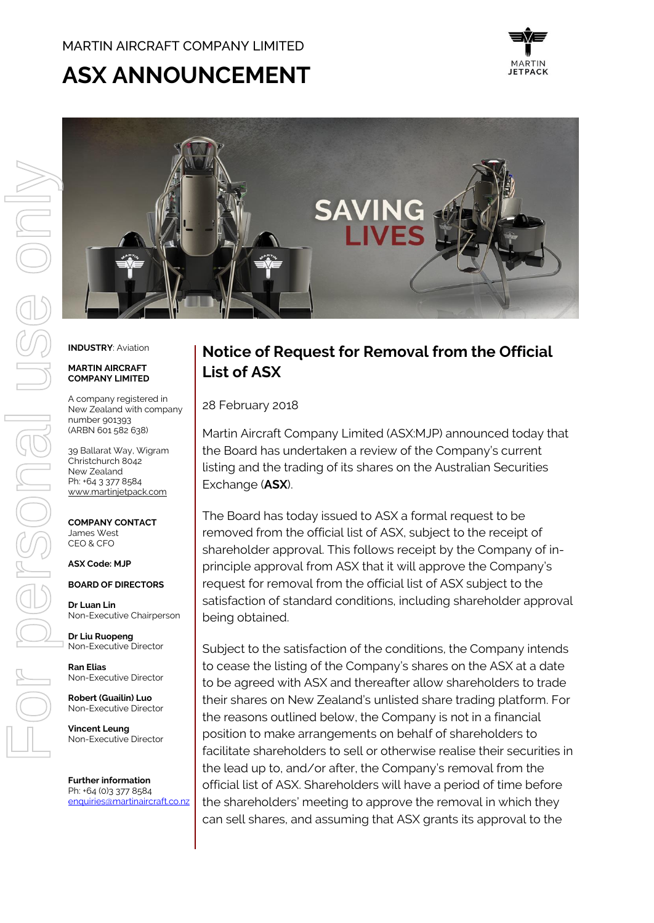## MARTIN AIRCRAFT COMPANY LIMITED

# **ASX ANNOUNCEMENT**





#### **INDUSTRY**: Aviation

#### **MARTIN AIRCRAFT COMPANY LIMITED**

A company registered in New Zealand with company number 901393 (ARBN 601 582 638)

39 Ballarat Way, Wigram Christchurch 8042 New Zealand Ph: +64 3 377 8584 [www.martinjetpack.com](http://www.martinjetpack.com/)

**COMPANY CONTACT** James West CEO & CFO

#### **ASX Code: MJP**

**BOARD OF DIRECTORS**

**Dr Luan Lin** Non-Executive Chairperson

**Dr Liu Ruopeng**  Non-Executive Director

**Ran Elias** Non-Executive Director

**Robert (Guailin) Luo** Non-Executive Director

**Vincent Leung** Non-Executive Director

**Further information** Ph: +64 (0)3 377 8584 [enquiries@martinaircraft.co.nz](mailto:enquiries@martinaircraft.co.nz)

# **Notice of Request for Removal from the Official List of ASX**

28 February 2018

Martin Aircraft Company Limited (ASX:MJP) announced today that the Board has undertaken a review of the Company's current listing and the trading of its shares on the Australian Securities Exchange (**ASX**).

The Board has today issued to ASX a formal request to be removed from the official list of ASX, subject to the receipt of shareholder approval. This follows receipt by the Company of inprinciple approval from ASX that it will approve the Company's request for removal from the official list of ASX subject to the satisfaction of standard conditions, including shareholder approval being obtained.

Subject to the satisfaction of the conditions, the Company intends to cease the listing of the Company's shares on the ASX at a date to be agreed with ASX and thereafter allow shareholders to trade their shares on New Zealand's unlisted share trading platform. For the reasons outlined below, the Company is not in a financial position to make arrangements on behalf of shareholders to facilitate shareholders to sell or otherwise realise their securities in the lead up to, and/or after, the Company's removal from the official list of ASX. Shareholders will have a period of time before the shareholders' meeting to approve the removal in which they can sell shares, and assuming that ASX grants its approval to the